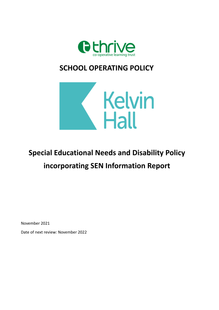

# **SCHOOL OPERATING POLICY**



# **Special Educational Needs and Disability Policy incorporating SEN Information Report**

November 2021

Date of next review: November 2022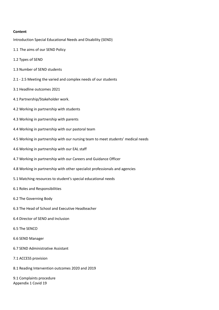#### **Content**

Introduction Special Educational Needs and Disability (SEND)

- 1.1 The aims of our SEND Policy
- 1.2 Types of SEND
- 1.3 Number of SEND students
- 2.1 2.5 Meeting the varied and complex needs of our students
- 3.1 Headline outcomes 2021
- 4.1 Partnership/Stakeholder work.
- 4.2 Working in partnership with students
- 4.3 Working in partnership with parents
- 4.4 Working in partnership with our pastoral team
- 4.5 Working in partnership with our nursing team to meet students' medical needs
- 4.6 Working in partnership with our EAL staff
- 4.7 Working in partnership with our Careers and Guidance Officer
- 4.8 Working in partnership with other specialist professionals and agencies
- 5.1 Matching resources to student's special educational needs
- 6.1 Roles and Responsibilities
- 6.2 The Governing Body
- 6.3 The Head of School and Executive Headteacher
- 6.4 Director of SEND and Inclusion
- 6.5 The SENCO
- 6.6 SEND Manager
- 6.7 SEND Administrative Assistant
- 7.1 ACCESS provision
- 8.1 Reading Intervention outcomes 2020 and 2019

9.1 Complaints procedure Appendix 1 Covid 19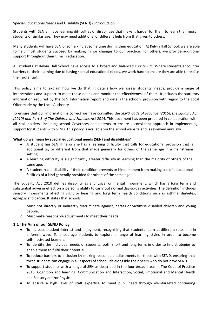#### Special Educational Needs and Disability (SEND) - Introduction

Students with SEN all have learning difficulties or disabilities that make it harder for them to learn than most students of similar age. They may need additional or different help from that given to others.

Many students will have SEN of some kind at some time during their education. At Kelvin Hall School, we are able to help most students succeed by making minor changes to our practice. For others, we provide additional support throughout their time in education.

All students at Kelvin Hall School have access to a broad and balanced curriculum. Where students encounter barriers to their learning due to having special educational needs, we work hard to ensure they are able to realise their potential.

This policy aims to explain how we do that. It details how we assess students' needs; provide a range of interventions and support to meet those needs and monitor the effectiveness of them. It includes the statutory information required by the SEN Information report and details the school's provision with regard to the Local Offer made by the Local Authority.

To ensure that our information is correct we have consulted the *SEND Code of Practice (2015), the Equality Act (2010) and Part 3 of The Children and Families Act 2014*. This document has been prepared in collaboration with all stakeholders, including school Governors and parents to ensure a consistent approach in implementing support for students with SEND. This policy is available via the school website and is reviewed annually.

#### **What do we mean by special educational needs (SEN) and disabilities?**

- A student has SEN if he or she has a learning difficulty that calls for educational provision that is additional to, or different from that made generally for others of the same age in a mainstream setting.
- A learning difficulty is a significantly greater difficulty in learning than the majority of others of the same age.
- A student has a disability if their condition prevents or hinders them from making use of educational facilities of a kind generally provided for others of the same age.

The Equality Act 2010 defines disability as a physical or mental impairment, which has a long term and substantial adverse effect on a person's ability to carry out normal day-to-day activities. The definition includes sensory impairments affecting sight or hearing and long term health conditions such as asthma, diabetes, epilepsy and cancer. It states that schools:

- 1. Must not directly or indirectly discriminate against, harass or victimise disabled children and young people;
- 2. Must make reasonable adjustments to meet their needs

# **1.1 The Aim of our SEND Policy**

- **●** To increase student interest and enjoyment, recognising that students learn at different rates and in different ways. To encourage students to explore a range of learning styles in order to become self-motivated learners.
- To identify the individual needs of students, both short and long term, in order to find strategies to enable them to fulfil their potential.
- To reduce barriers to inclusion by making reasonable adjustments for those with SEND, ensuring that these students can engage in all aspects of school life alongside their peers who do not have SEND.
- To support students with a range of SEN as described in the four broad areas in The Code of Practice 2015: Cognition and learning, Communication and Interaction, Social, Emotional and Mental Health and Sensory and/or Physical.
- To ensure a high level of staff expertise to meet pupil need through well-targeted continuing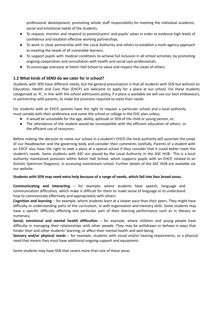professional development; promoting whole staff responsibility for meeting the individual academic, social and emotional needs of the students.

- To request, monitor and respond to parent/carers' and pupils' views in order to evidence high levels of confidence and establish effective working partnerships.
- To work in close partnership with the Local Authority and others to establish a multi-agency approach to meeting the needs of all vulnerable learners.
- To support pupils with medical conditions to achieve full inclusion in all school activities, by promoting ongoing cooperation and consultation with health and social care professionals.
- To encourage everyone at Kelvin Hall School to value and respect the views of others.

# **1.2 What kinds of SEND do we cater for in school?**

Students with SEN have different needs, but the general presumption is that all students with SEN but without an Education, Health and Care Plan (EHCP) are welcome to apply for a place at our school. For these students categorised as 'K', in line with the school admissions policy, if a place is available we will use our best endeavours, in partnership with parents, to make the provision required to meet their needs.

For students with an EHCP, parents have the right to request a particular school and a local authority must comply with their preference and name the school or college in the EHC plan unless;

- It would be unsuitable for the age, ability, aptitude or SEN of the child or young person, or;
- The attendance of the student would be incompatible with the efficient education of others, or the efficient use of resources.

Before making the decision to name our school in a student's EHCP, the local authority will ascertain the views of our Headteacher and the governing body and consider their comments carefully. Parents of a student with an EHCP also have the right to seek a place at a special school if they consider that it could better meet the student's needs. Some students with ASC are placed by the Local Authority in the ASC HUB. This is a local authority maintained provision within Kelvin Hall School, which supports pupils with an EHCP, related to an Autistic Spectrum Diagnosis, in accessing mainstream school. Further details of the ASC HUB are available via our website.

#### Students with SEN may need extra help because of a range of needs, which fall into four broad areas.

**Communicating and interacting** – for example, where students have speech, language and communication difficulties, which make it difficult for them to make sense of language or to understand how to communicate effectively and appropriately with others.

**Cognition and learning** – for example, where students learn at a slower pace than their peers. They might have difficulty in understanding parts of the curriculum, or with organisation and memory skills. Some students may have a specific difficulty affecting one particular part of their learning performance such as in literacy or numeracy.

**Social, emotional and mental health difficulties** – for example, where children and young people have difficulty in managing their relationships with other people. They may be withdrawn or behave in ways that hinder their and other students' learning; or affect their mental health and well-being.

**Sensory and/or physical needs** – for example, students with visual and/or hearing impairments, or a physical need that means they must have additional ongoing support and equipment.

Some students may have SEN that covers more than one of these areas.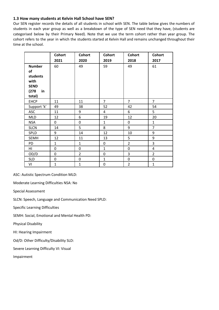# **1.3 How many students at Kelvin Hall School have SEN?**

Our SEN register records the details of all students in school with SEN. The table below gives the numbers of students in each year group as well as a breakdown of the type of SEN need that they have, (students are categorised below by their Primary Need). Note that we use the term cohort rather than year group. The cohort refers to the year in which the students started at Kelvin Hall and remains unchanged throughout their time at the school.

|               | <b>Cohort</b>    | <b>Cohort</b>  | <b>Cohort</b>  | <b>Cohort</b>  | <b>Cohort</b>  |
|---------------|------------------|----------------|----------------|----------------|----------------|
|               | 2021             | 2020           | 2019           | 2018           | 2017           |
| <b>Number</b> | 60               | 49             | 59             | 49             | 61             |
| of            |                  |                |                |                |                |
| students      |                  |                |                |                |                |
| with          |                  |                |                |                |                |
| <b>SEND</b>   |                  |                |                |                |                |
| (278)<br>in   |                  |                |                |                |                |
| total)        |                  |                |                |                |                |
| <b>EHCP</b>   | 11               | 11             | $\overline{7}$ | $\overline{7}$ | $\overline{7}$ |
| Support 'k'   | 49               | 38             | 52             | 42             | 54             |
| ASC           | 11               | 9              | $\overline{4}$ | 6              | 5              |
| <b>MLD</b>    | 12               | 6              | 19             | 12             | 20             |
| <b>NSA</b>    | 0                | $\mathbf 0$    | $\mathbf{1}$   | $\mathbf 0$    | $\mathbf{1}$   |
| <b>SLCN</b>   | 14               | 5              | 8              | 9              | $\overline{7}$ |
| SPLD          | 9                | 14             | 12             | 10             | 9              |
| <b>SEMH</b>   | 12               | 11             | 13             | 5              | 9              |
| PD            | $\mathbf{1}$     | $\mathbf{1}$   | 0              | $\overline{2}$ | 3              |
| HI            | 0                | 0              | $\mathbf{1}$   | 0              | $\overline{4}$ |
| OD/D          | 0                | $\overline{2}$ | $\mathbf 0$    | 3              | $\overline{2}$ |
| <b>SLD</b>    | $\boldsymbol{0}$ | $\pmb{0}$      | $\mathbf{1}$   | $\pmb{0}$      | $\pmb{0}$      |
| VI            | $\mathbf{1}$     | $\mathbf{1}$   | $\mathbf 0$    | $\overline{2}$ | $\mathbf{1}$   |

ASC: Autistic Spectrum Condition MLD:

Moderate Learning Difficulties NSA: No

Special Assessment

SLCN: Speech, Language and Communication Need SPLD:

Specific Learning Difficulties

SEMH: Social, Emotional and Mental Health PD:

Physical Disability

HI: Hearing Impairment

Od/D: Other Difficulty/Disability SLD:

Severe Learning Difficulty VI: Visual

Impairment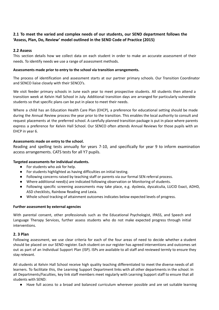# **2.1 To meet the varied and complex needs of our students, our SEND department follows the 'Assess, Plan, Do, Review' model outlined in the SEND Code of Practice (2015)**

# **2.2 Assess**

This section details how we collect data on each student in order to make an accurate assessment of their needs. To identify needs we use a range of assessment methods.

#### **Assessments made prior to entry to the school via transition arrangements.**

The process of identification and assessment starts at our partner primary schools. Our Transition Coordinator and SENCO liaise closely with their SENCO's.

We visit feeder primary schools in June each year to meet prospective students. All students then attend a transition week at Kelvin Hall School in July. Additional transition days are arranged for particularly vulnerable students so that specific plans can be put in place to meet their needs.

Where a child has an Education Health Care Plan (EHCP), a preference for educational setting should be made during the Annual Review process the year prior to the transition. This enables the local authority to consult and request placements at the preferred school. A carefully planned transition package is put in place where parents express a preference for Kelvin Hall School. Our SENCO often attends Annual Reviews for those pupils with an EHCP in year 6.

# **Assessments made on entry to the school.**

Reading and spelling tests annually for years 7-10, and specifically for year 9 to inform examination access arrangements. CATS tests for all Y7 pupils.

# **Targeted assessments for individual students.**

- For students who ask for help.
- For students highlighted as having difficulties on initial testing.
- Following concerns raised by teaching staff or parents via our formal SEN referral process.
- Where additional need(s) are indicated following observation or Monitoring of students.
- Following specific screening assessments may take place, e.g. dyslexia, dyscalculia, LUCID Exact, ADHD, ASD checklists, Rainbow Reading and Lexia.
- Whole school tracking of attainment outcomes indicates below expected levels of progress.

# **Further assessment by external agencies**

With parental consent, other professionals such as the Educational Psychologist, IPASS, and Speech and Language Therapy Services, further assess students who do not make expected progress through initial interventions.

# **2. 3 Plan**

Following assessment, we use clear criteria for each of the four areas of need to decide whether a student should be placed on our SEND register. Each student on our register has agreed interventions and outcomes set out as part of an Individual Support Plan (ISP). ISPs are available to all staff and reviewed termly to ensure they stay relevant.

All students at Kelvin Hall School receive high quality teaching differentiated to meet the diverse needs of all learners. To facilitate this, the Learning Support Department links with all other departments in the school. In all Departments/Faculties, key link staff members meet regularly with Learning Support staff to ensure that all students with SEND:

Have full access to a broad and balanced curriculum wherever possible and are set suitable learning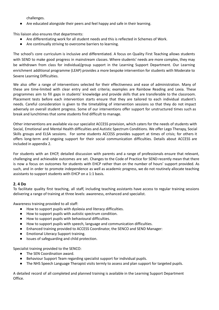challenges.

Are educated alongside their peers and feel happy and safe in their learning.

This liaison also ensures that departments:

- Are differentiating work for all student needs and this is reflected in Schemes of Work.
- Are continually striving to overcome barriers to learning.

The school's core curriculum is inclusive and differentiated. A focus on Quality First Teaching allows students with SEND to make good progress in mainstream classes. Where students' needs are more complex, they may be withdrawn from class for individual/group support in the Learning Support Department. Our Learning enrichment additional programme (LEAP) provides a more bespoke intervention for students with Moderate to Severe Learning Difficulties.

We also offer a range of interventions selected for their effectiveness and ease of administration. Many of these are time-limited with clear entry and exit criteria; examples are Rainbow Reading and Lexia. These programmes aim to fill gaps in students' knowledge and provide skills that are transferable to the classroom. Placement tests before each intervention starts ensure that they are tailored to each individual student's needs. Careful consideration is given to the timetabling of intervention sessions so that they do not impact adversely on overall student progress. Some of our interventions offer support for unstructured times such as break and lunchtimes that some students find difficult to manage.

Other interventions are available via our specialist ACCESS provision, which caters for the needs of students with Social, Emotional and Mental Health difficulties and Autistic Spectrum Conditions. We offer Lego Therapy, Social Skills groups and ELSA sessions. For some students ACCESS provides support at times of crisis; for others it offers long-term and ongoing support for their social communication difficulties. Details about ACCESS are included in appendix 2.

For students with an EHCP, detailed discussion with parents and a range of professionals ensure that relevant, challenging and achievable outcomes are set. Changes to the Code of Practice for SEND recently mean that there is now a focus on outcomes for students with EHCP rather than on the number of hours' support provided. As such, and in order to promote independence as well as academic progress, we do not routinely allocate teaching assistants to support students with EHCP on a 1:1 basis.

# **2. 4 Do**

To facilitate quality first teaching, all staff, including teaching assistants have access to regular training sessions delivering a range of training at three levels: awareness, enhanced and specialist.

Awareness training provided to all staff:

- How to support pupils with dyslexia and literacy difficulties.
- How to support pupils with autistic spectrum condition.
- How to support pupils with behavioural difficulties.
- How to support pupils with speech, language and communication difficulties.
- Enhanced training provided to ACCESS Coordinator, the SENCO and SEND Manager:
- Emotional Literacy Support training.
- Issues of safeguarding and child protection.

Specialist training provided to the SENCO:

- The SEN Coordination award.
- Behaviour Support Team regarding specialist support for individual pupils.
- The NHS Speech Language Therapist visits termly to assess and plan support for targeted pupils.

A detailed record of all completed and planned training is available in the Learning Support Department Office.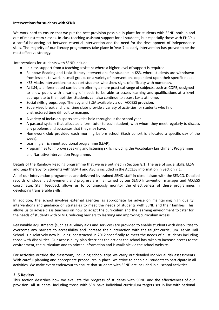#### **Interventions for students with SEND**

We work hard to ensure that we put the best provision possible in place for students with SEND both in and out of mainstream classes. In-class teaching assistant support for all students, but especially those with EHCP is a careful balancing act between essential intervention and the need for the development of independence skills. The majority of our literacy programmes take place in Year 7 as early intervention has proved to be the most effective strategy.

Interventions for students with SEND include:

- In-class support from a teaching assistant where a higher level of support is required.
- Rainbow Reading and Lexia literacy interventions for students in KS3, where students are withdrawn from lessons to work in small groups on a variety of interventions dependent upon their specific need.
- KS3 Maths interventions to support students who show signs of difficulty with numeracy.
- At KS4, a differentiated curriculum offering a more practical range of subjects, such as COPE, designed to allow pupils with a variety of needs to be able to access learning and qualifications at a level appropriate to their abilities. Students can also continue to access Lexia at home.
- Social skills groups, Lego Therapy and ELSA available via our ACCESS provision.
- Supervised break and lunchtime clubs provide a variety of activities for students who find unstructured time difficult to manage.
- A variety of Inclusion sports activities held throughout the school year.
- A pastoral system that allocates a form tutor to each student, with whom they meet regularly to discuss any problems and successes that they may have.
- Homework club provided each morning before school (Each cohort is allocated a specific day of the week).
- Learning enrichment additional programme (LEAP).
- Programmes to improve speaking and listening skills including the Vocabulary Enrichment Programme and Narrative Intervention Programme.

Details of the Rainbow Reading programme that we use outlined in Section 8.1. The use of social skills, ELSA and Lego therapy for students with SEMH and ASC is included in the ACCESS information in Section 7.1.

All of our intervention programmes are delivered by trained SEND staff in close liaison with the SENCO. Detailed records of student achievement and progress are maintained by our SEND Intervention manager and ACCESS coordinator. Staff feedback allows us to continuously monitor the effectiveness of these programmes in developing transferable skills.

In addition, the school involves external agencies as appropriate for advice on maintaining high quality interventions and guidance on strategies to meet the needs of students with SEND and their families. This allows us to advise class teachers on how to adapt the curriculum and the learning environment to cater for the needs of students with SEND, reducing barriers to learning and improving curriculum access.

Reasonable adjustments (such as auxiliary aids and services) are provided to enable students with disabilities to overcome any barriers to accessibility and increase their interaction with the taught curriculum. Kelvin Hall School is a relatively new building, constructed in 2012 specifically to meet the needs of all students including those with disabilities. Our accessibility plan describes the actions the school has taken to increase access to the environment, the curriculum and to printed information and is available via the school website.

For activities outside the classroom, including school trips we carry out detailed individual risk assessments. With careful planning and appropriate procedures in place, we strive to enable all students to participate in all activities. We make every endeavour to ensure that students with SEND are included in all school activities.

#### **2. 5 Review**

This section describes how we evaluate the progress of students with SEND and the effectiveness of our provision. All students, including those with SEN have individual curriculum targets set in line with national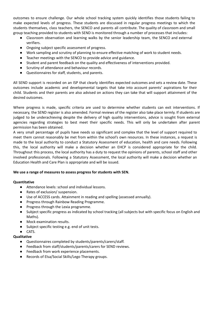outcomes to ensure challenge. Our whole school tracking system quickly identifies those students failing to make expected levels of progress. These students are discussed in regular progress meetings to which the students themselves, class teachers, the SENCO and parents all contribute. The quality of classroom and small group teaching provided to students with SEND is monitored through a number of processes that includes:

- Classroom observation and learning walks by the senior leadership team, the SENCO and external verifiers.
- Ongoing subject specific assessment of progress.
- Work sampling and scrutiny of planning to ensure effective matching of work to student needs.
- Teacher meetings with the SENCO to provide advice and guidance.
- Student and parent feedback on the quality and effectiveness of interventions provided.
- Scrutiny of attendance and behaviour records.
- Questionnaires for staff, students, and parents.

All SEND support is recorded on an ISP that clearly identifies expected outcomes and sets a review date. These outcomes include academic and developmental targets that take into account parents' aspirations for their child. Students and their parents are also advised on actions they can take that will support attainment of the desired outcomes.

Where progress is made, specific criteria are used to determine whether students can exit interventions. If necessary, the SEND register is also amended. Formal reviews of the register also take place termly. If students are judged to be underachieving despite the delivery of high quality interventions, advice is sought from external agencies regarding strategies to best meet their specific needs. This will only be undertaken after parent permission has been obtained.

A very small percentage of pupils have needs so significant and complex that the level of support required to meet them cannot reasonably be met from within the school's own resources. In these instances, a request is made to the local authority to conduct a Statutory Assessment of education, health and care needs. Following this, the local authority will make a decision whether an EHCP is considered appropriate for the child. Throughout this process, the local authority has a duty to request the opinions of parents, school staff and other involved professionals. Following a Statutory Assessment, the local authority will make a decision whether an Education Health and Care Plan is appropriate and will be issued.

# **We use a range of measures to assess progress for students with SEN.**

#### **Quantitative**

- Attendance levels: school and individual lessons.
- Rates of exclusion/ suspension.
- Use of ACCESS cards. Attainment in reading and spelling (assessed annually).
- Progress through Rainbow Reading Programme.
- Progress through the Lexia programme.
- Subject specific progress as indicated by school tracking (all subjects but with specific focus on English and Maths).
- Mock examination results.
- Subject specific testing e.g. end of unit tests.
- CATS.

# **Qualitative**

- Questionnaires completed by students/parents/carers/staff.
- Feedback from staff/students/parents/carers for SEND reviews.
- Feedback from work experience placements.
- Records of Elsa/Social Skills/Lego Therapy groups.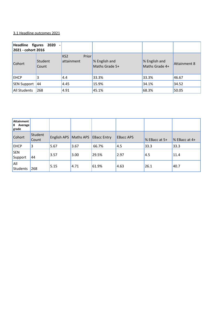# 3.1 Headline outcomes 2021

| Headline figures 2020<br>2021 - cohort 2016 |                  |                                               |                                 |                                 |              |
|---------------------------------------------|------------------|-----------------------------------------------|---------------------------------|---------------------------------|--------------|
| Cohort                                      | Student<br>Count | <b>Prior</b><br>KS <sub>2</sub><br>attainment | % English and<br>Maths Grade 5+ | % English and<br>Maths Grade 4+ | Attainment 8 |
| <b>EHCP</b>                                 | 3                | 4.4                                           | 33.3%                           | 33.3%                           | 46.67        |
| <b>SEN Support</b>                          | 44               | 4.45                                          | 15.9%                           | 34.1%                           | 34.52        |
| <b>All Students</b>                         | 268              | 4.91                                          | 45.1%                           | 68.3%                           | 50.05        |

| <b>Attainment</b><br>8 Average<br>grade |                         |                       |      |                    |                  |                  |                 |
|-----------------------------------------|-------------------------|-----------------------|------|--------------------|------------------|------------------|-----------------|
| Cohort                                  | Student<br><b>Count</b> | English APS Maths APS |      | <b>EBacc Entry</b> | <b>EBacc APS</b> | $\%$ EBacc at 5+ | $%$ EBacc at 4+ |
| <b>EHCP</b>                             | 3                       | 5.67                  | 3.67 | 66.7%              | 4.5              | 33.3             | 33.3            |
| <b>SEN</b><br>Support                   | 44                      | 3.57                  | 3.00 | 29.5%              | 2.97             | 4.5              | 11.4            |
| All<br>Students                         | 268                     | 5.15                  | 4.71 | 61.9%              | 4.63             | 26.1             | 40.7            |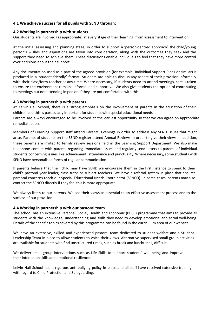# **4.1 We achieve success for all pupils with SEND through:**

#### **4.2 Working in partnership with students**

Our students are involved (as appropriate) at every stage of their learning; from assessment to intervention.

At the initial assessing and planning stage, in order to support a 'person-centred approach', the child/young person's wishes and aspirations are taken into consideration, along with the outcomes they seek and the support they need to achieve them. These discussions enable individuals to feel that they have more control over decisions about their support.

Any documentation used as a part of the agreed provision (for example, Individual Support Plans or similar) is produced in a 'student friendly' format. Students are able to discuss any aspect of their provision informally with their class/form teacher at any time. Where necessary, if students need to attend meetings, care is taken to ensure the environment remains informal and supportive. We also give students the option of contributing to meetings but not attending in person if they are not comfortable with this.

#### **4.3 Working in partnership with parents**

At Kelvin Hall School, there is a strong emphasis on the involvement of parents in the education of their children and this is particularly important for students with special educational needs.

Parents are always encouraged to be involved at the earliest opportunity so that we can agree on appropriate remedial actions.

Members of Learning Support staff attend Parents' Evenings in order to address any SEND issues that might arise. Parents of students on the SEND register attend Annual Reviews in order to give their views. In addition, these parents are invited to termly review sessions held in the Learning Support Department. We also make telephone contact with parents regarding immediate issues and regularly send letters to parents of individual students concerning issues like achievement, attendance and punctuality. Where necessary, some students with SEND have personalised forms of regular communication.

If parents believe that their child may have SEND we encourage them in the first instance to speak to their child's pastoral year leader, class tutor or subject teachers. We have a referral system in place that ensures parental concerns reach our Special Educational Needs Coordinator (SENCO). In some cases, parents may also contact the SENCO directly if they feel this is more appropriate.

We always listen to our parents. We see their views as essential to an effective assessment process and to the success of our provision.

# **4.4 Working in partnership with our pastoral team**

The school has an extensive Personal, Social, Health and Economic (PHSE) programme that aims to provide all students with the knowledge, understanding and skills they need to develop emotional and social well-being. Details of the specific topics covered by this programme can be found in the curriculum area of our website.

We have an extensive, skilled and experienced pastoral team dedicated to student welfare and a Student Leadership Team in place to allow students to voice their views. Alternative supervised small group activities are available for students who find unstructured times, such as break and lunchtimes, difficult.

We deliver small group interventions such as Life Skills to support students' well-being and improve their interaction skills and emotional resilience.

Kelvin Hall School has a rigorous anti-bullying policy in place and all staff have received extensive training with regard to Child Protection and Safeguarding.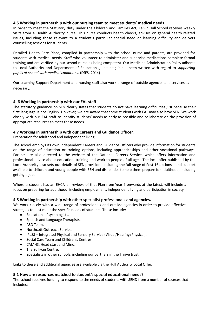# **4.5 Working in partnership with our nursing team to meet students' medical needs**

In order to meet the Statutory duty under the Children and Families Act, Kelvin Hall School receives weekly visits from a Health Authority nurse. This nurse conducts health checks, advises on general health related issues, including those relevant to a student's particular special need or learning difficulty and delivers counselling sessions for students.

Detailed Health Care Plans, compiled in partnership with the school nurse and parents, are provided for students with medical needs. Staff who volunteer to administer and supervise medications complete formal training and are verified by our school nurse as being competent. Our Medicine Administration Policy adheres to Local Authority and Department of Education guidelines; it has been written with regard to *supporting pupils at school with medical conditions.* (DfES, 2014)

Our Learning Support Department and nursing staff also work a range of outside agencies and services as necessary.

# **4. 6 Working in partnership with our EAL staff**

The statutory guidance on SEN clearly states that students do not have learning difficulties *just* because their first language is not English. However, we are aware that some students with EAL may also have SEN. We work closely with our EAL staff to identify students' needs as early as possible and collaborate on the provision of appropriate resources to meet these needs.

#### **4.7 Working in partnership with our Careers and Guidance Officer.**

Preparation for adulthood and independent living:

The school employs its own independent Careers and Guidance Officers who provide information for students on the range of education or training options, including apprenticeships and other vocational pathways. Parents are also directed to the website of the National Careers Service, which offers information and professional advice about education, training and work to people of all ages. The local offer published by the Local Authority also sets out details of SEN provision - including the full range of Post-16 options – and support available to children and young people with SEN and disabilities to help them prepare for adulthood, including getting a job.

Where a student has an EHCP, all reviews of that Plan from Year 9 onwards at the latest, will include a focus on preparing for adulthood, including employment, independent living and participation in society.

# **4.8 Working in partnership with other specialist professionals and agencies.**

We work closely with a wide range of professionals and outside agencies in order to provide effective strategies to best meet the specific needs of students. These include:

- Educational Psychologists.
- Speech and Language Therapists.
- ASD Team.
- Northcott Outreach Service.
- IPaSS Integrated Physical and Sensory Service (Visual/Hearing/Physical).
- Social Care Team and Children's Centres.
- CAMHS, Head start and Mind.
- The Sullivan Centre.
- Specialists in other schools, including our partners in the Thrive trust.

Links to these and additional agencies are available via the Hull Authority Local Offer.

#### **5.1 How are resources matched to student's special educational needs?**

The school receives funding to respond to the needs of students with SEND from a number of sources that includes: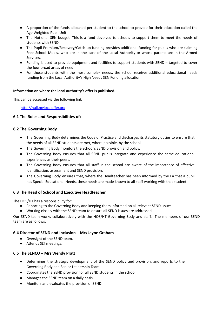- A proportion of the funds allocated per student to the school to provide for their education called the Age Weighted Pupil Unit.
- The Notional SEN budget. This is a fund devolved to schools to support them to meet the needs of students with SEND.
- The Pupil Premium/Recovery/Catch-up funding provides additional funding for pupils who are claiming Free School Meals, who are in the care of the Local Authority or whose parents are in the Armed Services.
- Funding is used to provide equipment and facilities to support students with SEND targeted to cover the four broad areas of need.
- For those students with the most complex needs, the school receives additional educational needs funding from the Local Authority's High Needs SEN Funding allocation.

#### **Information on where the local authority's offer is published.**

This can be accessed via the following link

#### [http://hull.mylocaloffer.org](http://hull.mylocaloffer.org/)

#### **6.1 The Roles and Responsibilities of:**

#### **6.2 The Governing Body**

- The Governing Body determines the Code of Practice and discharges its statutory duties to ensure that the needs of all SEND students are met, where possible, by the school.
- The Governing Body monitors the School's SEND provision and policy.
- The Governing Body ensures that all SEND pupils integrate and experience the same educational experiences as their peers.
- The Governing Body ensures that all staff in the school are aware of the importance of effective identification, assessment and SEND provision.
- The Governing Body ensures that, where the Headteacher has been informed by the LA that a pupil has Special Educational Needs, these needs are made known to all staff working with that student.

# **6.3 The Head of School and Executive Headteacher**

The HOS/HT has a responsibility for:

- Reporting to the Governing Body and keeping them informed on all relevant SEND issues.
- Working closely with the SEND team to ensure all SEND issues are addressed.

Our SEND team works collaboratively with the HOS/HT Governing Body and staff. The members of our SEND team are as follows.

# **6.4 Director of SEND and Inclusion – Mrs Jayne Graham**

- Oversight of the SEND team.
- Attends SLT meetings.

#### **6.5 The SENCO – Mrs Wendy Pratt**

- Determines the strategic development of the SEND policy and provision, and reports to the Governing Body and Senior Leadership Team.
- Coordinates the SEND provision for all SEND students in the school.
- Manages the SEND team on a daily basis.
- Monitors and evaluates the provision of SEND.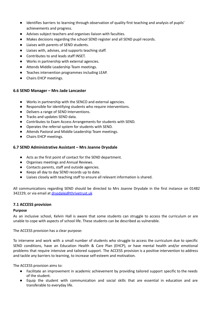- Identifies barriers to learning through observation of quality first teaching and analysis of pupils' achievements and progress.
- Advises subject teachers and organises liaison with faculties.
- Makes decisions regarding the school SEND register and all SEND pupil records.
- Liaises with parents of SEND students.
- Liaises with, advises, and supports teaching staff.
- Contributes to and leads staff INSET.
- Works in partnership with external agencies.
- Attends Middle Leadership Team meetings.
- Teaches intervention programmes including LEAP.
- Chairs EHCP meetings.

# **6.6 SEND Manager – Mrs Jade Lancaster**

- Works in partnership with the SENCO and external agencies.
- Responsible for identifying students who require interventions.
- Delivers a range of SEND Interventions.
- Tracks and updates SEND data.
- Contributes to Exam Access Arrangements for students with SEND.
- Operates the referral system for students with SEND.
- Attends Pastoral and Middle Leadership Team meetings.
- Chairs EHCP meetings.

# **6.7 SEND Administrative Assistant – Mrs Joanne Drysdale**

- Acts as the first point of contact for the SEND department.
- Organises meetings and Annual Reviews.
- Contacts parents, staff and outside agencies.
- Keeps all day to day SEND records up to date.
- Liaises closely with teaching staff to ensure all relevant information is shared.

All communications regarding SEND should be directed to Mrs Joanne Drysdale in the first instance on 01482 342229, or via email at [drysdalej@thrivetrust.uk](mailto:drysdalej@thrivetrust.uk)

# **7.1 ACCESS provision**

#### **Purpose**

As an inclusive school, Kelvin Hall is aware that some students can struggle to access the curriculum or are unable to cope with aspects of school life. These students can be described as vulnerable.

The ACCESS provision has a clear purpose:

To intervene and work with a small number of students who struggle to access the curriculum due to specific SEND conditions, have an Education Health & Care Plan (EHCP), or have mental health and/or emotional problems that require intensive and tailored support. The ACCESS provision is a positive intervention to address and tackle any barriers to learning, to increase self-esteem and motivation.

The ACCESS provision aims to:

- Facilitate an improvement in academic achievement by providing tailored support specific to the needs of the student.
- Equip the student with communication and social skills that are essential in education and are transferable to everyday life.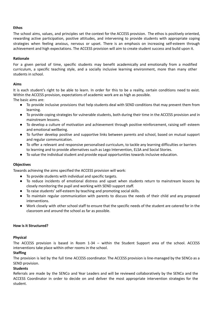#### **Ethos**

The school aims, values, and principles set the context for the ACCESS provision. The ethos is positively oriented, rewarding active participation, positive attitudes, and intervening to provide students with appropriate coping strategies when feeling anxious, nervous or upset. There is an emphasis on increasing self-esteem through achievement and high expectations. The ACCESS provision will aim to create student success and build upon it.

#### **Rationale**

For a given period of time, specific students may benefit academically and emotionally from a modified curriculum, a specific teaching style, and a socially inclusive learning environment, more than many other students in school.

#### **Aims**

It is each student's right to be able to learn. In order for this to be a reality, certain conditions need to exist. Within the ACCESS provision, expectations of academic work are as high as possible.

The basic aims are:

- To provide inclusive provisions that help students deal with SEND conditions that may prevent them from learning.
- To provide coping strategies for vulnerable students, both during their time in the ACCESS provision and in mainstream lessons.
- To develop a culture of motivation and achievement through positive reinforcement, raising self- esteem and emotional wellbeing.
- To further develop positive and supportive links between parents and school, based on mutual support and regular communication.
- To offer a relevant and responsive personalised curriculum, to tackle any learning difficulties or barriers to learning and to provide alternatives such as Lego Intervention, ELSA and Social Stories.
- To value the individual student and provide equal opportunities towards inclusive education.

# **Objectives**

Towards achieving the aims specified the ACCESS provision will work:

- To provide students with individual and specific targets.
- To reduce incidents of emotional distress and upset when students return to mainstream lessons by closely monitoring the pupil and working with SEND support staff.
- To raise students' self-esteem by teaching and promoting social skills.
- To maintain regular communication with parents to discuss the needs of their child and any proposed interventions.
- Work closely with other school staff to ensure that the specific needs of the student are catered for in the classroom and around the school as far as possible.

#### **How is it Structured?**

#### **Physical**

The ACCESS provision is based in Room 1-34 – within the Student Support area of the school. ACCESS interventions take place within other rooms in the school.

#### **Staffing**

The provision is led by the full time ACCESS coordinator. The ACCESS provision is line-managed by the SENCo as a SEND provision.

# **Students**

Referrals are made by the SENCo and Year Leaders and will be reviewed collaboratively by the SENCo and the ACCESS Coordinator in order to decide on and deliver the most appropriate intervention strategies for the student.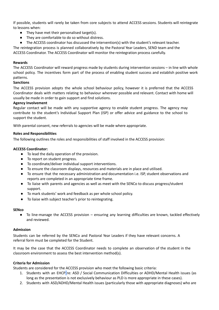If possible, students will rarely be taken from core subjects to attend ACCESS sessions. Students will reintegrate to lessons when:

- They have met their personalised target(s).
- They are comfortable to do so without distress.
- The ACCESS coordinator has discussed the intervention(s) with the student's relevant teacher.

The reintegration process is planned collaboratively by the Pastoral Year Leaders, SEND team and the ACCESS Coordinator. The ACCESS Coordinator will monitor the reintegration process carefully.

#### **Rewards**

The ACCESS Coordinator will reward progress made by students during intervention sessions – in line with whole school policy. The incentives form part of the process of enabling student success and establish positive work patterns.

# **Sanctions**

The ACCESS provision adopts the whole school behaviour policy, however it is preferred that the ACCESS Coordinator deals with matters relating to behaviour wherever possible and relevant. Contact with home will usually be made in order to gain support and find solutions.

#### **Agency Involvement**

Regular contact will be made with any supportive agency to enable student progress. The agency may contribute to the student's Individual Support Plan (ISP) or offer advice and guidance to the school to support the student.

With parental consent, new referrals to agencies will be made where appropriate.

#### **Roles and Responsibilities**

The following outlines the roles and responsibilities of staff involved in the ACCESS provision:

#### **ACCESS Coordinator:**

- To lead the daily operation of the provision.
- To report on student progress.
- To coordinate/deliver individual support interventions.
- To ensure the classroom displays, resources and materials are in place and utilised.
- To ensure that the necessary administration and documentation i.e. ISP, student observations and reports are completed in an appropriate time frame.
- To liaise with parents and agencies as well as meet with the SENCo to discuss progress/student support.
- To mark students' work and feedback as per whole school policy.
- To liaise with subject teacher's prior to reintegrating.

#### **SENco**

● To line-manage the ACCESS provision – ensuring any learning difficulties are known, tackled effectively and reviewed.

#### **Admission**

Students can be referred by the SENCo and Pastoral Year Leaders if they have relevant concerns. A referral form must be completed for the Student.

It may be the case that the ACCESS Coordinator needs to complete an observation of the student in the classroom environment to assess the best intervention method(s).

#### **Criteria for Admission**

Students are considered for the ACCESS provision who meet the following basic criteria:

- 1. Students with an EHCP re: ASD / Social Communication Difficulties or ADHD/Mental Health issues (as long as the presentation is not exclusively behaviour as PLD is more appropriate in these cases).
- 2. Students with ASD/ADHD/Mental Health issues (particularly those with appropriate diagnoses) who are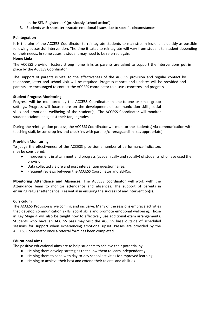on the SEN Register at K (previously 'school action').

3. Students with short-term/acute emotional issues due to specific circumstances.

#### **Reintegration**

It is the aim of the ACCESS Coordinator to reintegrate students to mainstream lessons as quickly as possible following successful intervention. The time it takes to reintegrate will vary from student to student depending on their needs. In some cases, a student may need to be referred again.

#### **Home Links**

The ACCESS provision fosters strong home links as parents are asked to support the interventions put in place by the ACCESS Coordinator.

The support of parents is vital to the effectiveness of the ACCESS provision and regular contact by telephone, letter and school visit will be required. Progress reports and updates will be provided and parents are encouraged to contact the ACCESS coordinator to discuss concerns and progress.

#### **Student Progress Monitoring**

Progress will be monitored by the ACCESS Coordinator in one-to-one or small group settings. Progress will focus more on the development of communication skills, social skills and emotional wellbeing of the student(s). The ACCESS Coordinator will monitor student attainment against their target grades.

During the reintegration process, the ACCESS Coordinator will monitor the student(s) via communication with teaching staff, lesson drop-ins and check-ins with parents/carers/guardians (as appropriate).

#### **Provision Monitoring**

To judge the effectiveness of the ACCESS provision a number of performance indicators may be considered:

- Improvement in attainment and progress (academically and socially) of students who have used the provision.
- Data collected via pre and post intervention questionnaires.
- Frequent reviews between the ACCESS Coordinator and SENCo.

**Monitoring Attendance and Absences.** The ACCESS coordinator will work with the Attendance Team to monitor attendance and absences. The support of parents in ensuring regular attendance is essential in ensuring the success of any intervention(s).

#### **Curriculum**

The ACCESS Provision is welcoming and inclusive. Many of the sessions embrace activities that develop communication skills, social skills and promote emotional wellbeing. Those in Key Stage 4 will also be taught how to effectively use additional exam arrangements. Students who have an ACCESS pass may visit the ACCESS base outside of scheduled sessions for support when experiencing emotional upset. Passes are provided by the ACCESS Coordinator once a referral form has been completed.

#### **Educational Aims**

The positive educational aims are to help students to achieve their potential by:

- Helping them develop strategies that allow them to learn independently.
- Helping them to cope with day-to-day school activities for improved learning.
- Helping to achieve their best and extend their talents and abilities.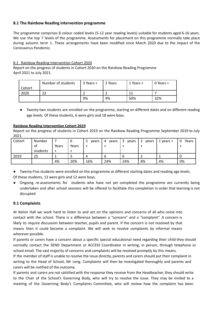# **8.1 The Rainbow Reading intervention programme**

The programme comprises 8 colour coded levels (5-12 year reading levels) suitable for students aged 6-16 years. We use the top 7 levels of the programme. Assessments for placement on this programme normally take place during autumn term 1. These arrangements have been modified since March 2020 due to the impact of the Coronavirus Pandemic.

# 8.1 Rainbow Reading Intervention Cohort 2020

Report on the progress of students in Cohort 2020 on the Rainbow Reading Programme April 2021 to July 2021.

|        | Number of students | $3$ Years $+$ | 2 Years | 1 Years + | 0 Years $+$ |
|--------|--------------------|---------------|---------|-----------|-------------|
| Cohort |                    |               |         |           |             |
| 2020   | າາ                 |               |         | 11        |             |
|        |                    | 9%            | 9%      | 50%       | 32%         |

● Twenty-two students are enrolled on the programme, starting on different dates and on different reading age levels. Of these students, 6 were girls and 18 were boys.

#### **Rainbow Reading Intervention Cohort 2019**

Report on the progress of students in Cohort 2019 on the Rainbow Reading Programme September 2019 to July 2021.

| Cohort | Number   |       | b     | 5<br>vears | vears<br>4 | 3<br>vears | $\overline{2}$<br>vears | 1 years + | Years<br>0 |
|--------|----------|-------|-------|------------|------------|------------|-------------------------|-----------|------------|
|        | .ot      | Years | Years | $\ddot{}$  |            |            |                         |           |            |
|        | students | ┵     |       |            |            |            |                         |           |            |
| 2019   | 25       |       |       | 4          |            | b          |                         |           |            |
|        |          | 4%    | 20%   | 16%        | 24%        | 24%        | 8%                      | 4%        | 0%         |

Twenty-Five students were enrolled on the programme at different starting dates and reading age levels.

Of these students, 13 were girls and 12 were boys.

Ongoing re-assessments for students who have not yet completed the programme are currently being undertaken and after school sessions will be offered to facilitate this completion in order that learning is not disrupted

# **9.1 Complaints**

At Kelvin Hall we work hard to listen to and act on the opinions and concerns of all who come into contact with the school. There is a difference between a "concern" and a "complaint". A concern is likely to require discussion between teacher, pupils and parent. If the concern is not resolved by that means then it could become a complaint. We will seek to resolve complaints by informal means wherever possible.

If parents or carers have a concern about a specific special educational need regarding their child they should normally contact the SEND Department or ACCESS Coordinator in writing, in person, through telephone or school email. The vast majority of concerns and complaints will be resolved promptly by this means.

If the member of staff is unable to resolve the issue directly, parents and carers should put their complaint in writing to the Head of School, Mr Leng. Complaints will then be investigated thoroughly and parents and carers will be notified of the outcome.

If parents and carers are not satisfied with the response they receive from the Headteacher, they should write to the Chair of the School's Governing Body, who will try to resolve the issue. They may be invited to a meeting of the Governing Body's Complaints Committee, who will review how the complaint has been